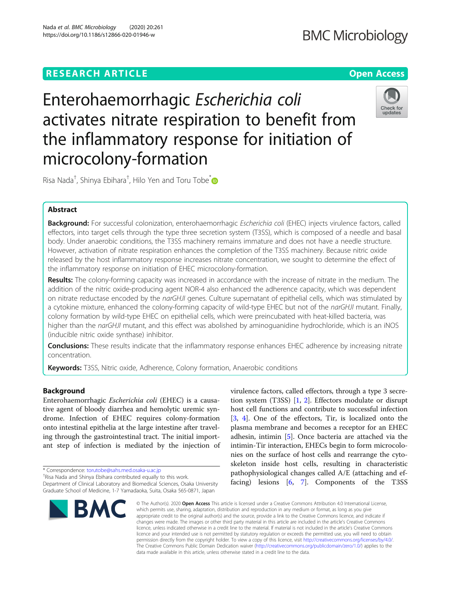## **RESEARCH ARTICLE Example 2014 12:30 The Contract of Contract ACCESS**

# **BMC Microbiology**

Enterohaemorrhagic Escherichia coli activates nitrate respiration to benefit from the inflammatory response for initiation of microcolony-formation



Risa Nada<sup>†</sup>, Shinya Ebihara<sup>†</sup>, Hilo Yen and Toru Tobe<sup>[\\*](http://orcid.org/0000-0002-1727-3174)</sup>

### Abstract

Background: For successful colonization, enterohaemorrhagic Escherichia coli (EHEC) injects virulence factors, called effectors, into target cells through the type three secretion system (T3SS), which is composed of a needle and basal body. Under anaerobic conditions, the T3SS machinery remains immature and does not have a needle structure. However, activation of nitrate respiration enhances the completion of the T3SS machinery. Because nitric oxide released by the host inflammatory response increases nitrate concentration, we sought to determine the effect of the inflammatory response on initiation of EHEC microcolony-formation.

Results: The colony-forming capacity was increased in accordance with the increase of nitrate in the medium. The addition of the nitric oxide-producing agent NOR-4 also enhanced the adherence capacity, which was dependent on nitrate reductase encoded by the narGHJI genes. Culture supernatant of epithelial cells, which was stimulated by a cytokine mixture, enhanced the colony-forming capacity of wild-type EHEC but not of the narGHJI mutant. Finally, colony formation by wild-type EHEC on epithelial cells, which were preincubated with heat-killed bacteria, was higher than the narGHJI mutant, and this effect was abolished by aminoguanidine hydrochloride, which is an iNOS (inducible nitric oxide synthase) inhibitor.

Conclusions: These results indicate that the inflammatory response enhances EHEC adherence by increasing nitrate concentration.

Keywords: T3SS, Nitric oxide, Adherence, Colony formation, Anaerobic conditions

#### Background

Enterohaemorrhagic Escherichia coli (EHEC) is a causative agent of bloody diarrhea and hemolytic uremic syndrome. Infection of EHEC requires colony-formation onto intestinal epithelia at the large intestine after traveling through the gastrointestinal tract. The initial important step of infection is mediated by the injection of

\* Correspondence: [torutobe@sahs.med.osaka-u.ac.jp](mailto:torutobe@sahs.med.osaka-u.ac.jp) †

<sup>+</sup>Risa Nada and Shinya Ebihara contributed equally to this work.

Department of Clinical Laboratory and Biomedical Sciences, Osaka University Graduate School of Medicine, 1-7 Yamadaoka, Suita, Osaka 565-0871, Japan



virulence factors, called effectors, through a type 3 secretion system (T3SS) [[1,](#page-7-0) [2](#page-7-0)]. Effectors modulate or disrupt host cell functions and contribute to successful infection [[3,](#page-7-0) [4\]](#page-7-0). One of the effectors, Tir, is localized onto the plasma membrane and becomes a receptor for an EHEC adhesin, intimin [[5\]](#page-7-0). Once bacteria are attached via the intimin-Tir interaction, EHECs begin to form microcolonies on the surface of host cells and rearrange the cytoskeleton inside host cells, resulting in characteristic pathophysiological changes called A/E (attaching and effacing) lesions [\[6](#page-7-0), [7](#page-7-0)]. Components of the T3SS

© The Author(s), 2020 **Open Access** This article is licensed under a Creative Commons Attribution 4.0 International License, which permits use, sharing, adaptation, distribution and reproduction in any medium or format, as long as you give appropriate credit to the original author(s) and the source, provide a link to the Creative Commons licence, and indicate if changes were made. The images or other third party material in this article are included in the article's Creative Commons licence, unless indicated otherwise in a credit line to the material. If material is not included in the article's Creative Commons licence and your intended use is not permitted by statutory regulation or exceeds the permitted use, you will need to obtain permission directly from the copyright holder. To view a copy of this licence, visit [http://creativecommons.org/licenses/by/4.0/.](http://creativecommons.org/licenses/by/4.0/) The Creative Commons Public Domain Dedication waiver [\(http://creativecommons.org/publicdomain/zero/1.0/](http://creativecommons.org/publicdomain/zero/1.0/)) applies to the data made available in this article, unless otherwise stated in a credit line to the data.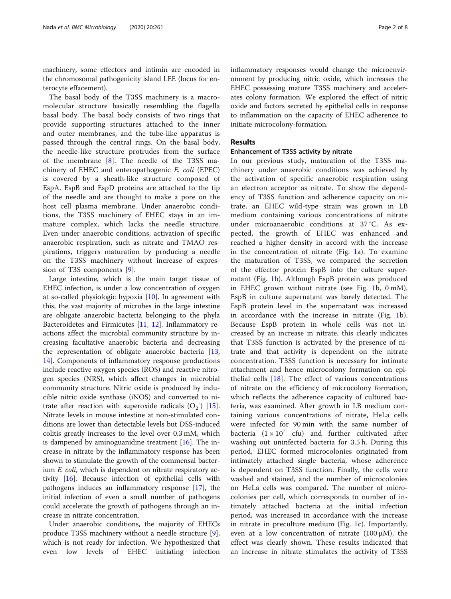machinery, some effectors and intimin are encoded in the chromosomal pathogenicity island LEE (locus for enterocyte effacement).

The basal body of the T3SS machinery is a macromolecular structure basically resembling the flagella basal body. The basal body consists of two rings that provide supporting structures attached to the inner and outer membranes, and the tube-like apparatus is passed through the central rings. On the basal body, the needle-like structure protrudes from the surface of the membrane [[8\]](#page-7-0). The needle of the T3SS machinery of EHEC and enteropathogenic E. coli (EPEC) is covered by a sheath-like structure composed of EspA. EspB and EspD proteins are attached to the tip of the needle and are thought to make a pore on the host cell plasma membrane. Under anaerobic conditions, the T3SS machinery of EHEC stays in an immature complex, which lacks the needle structure. Even under anaerobic conditions, activation of specific anaerobic respiration, such as nitrate and TMAO respirations, triggers maturation by producing a needle on the T3SS machinery without increase of expression of T3S components [[9\]](#page-7-0).

Large intestine, which is the main target tissue of EHEC infection, is under a low concentration of oxygen at so-called physiologic hypoxia  $[10]$  $[10]$ . In agreement with this, the vast majority of microbes in the large intestine are obligate anaerobic bacteria belonging to the phyla Bacteroidetes and Firmicutes [\[11](#page-7-0), [12](#page-7-0)]. Inflammatory reactions affect the microbial community structure by increasing facultative anaerobic bacteria and decreasing the representation of obligate anaerobic bacteria [[13](#page-7-0), [14\]](#page-7-0). Components of inflammatory response productions include reactive oxygen species (ROS) and reactive nitrogen species (NRS), which affect changes in microbial community structure. Nitric oxide is produced by inducible nitric oxide synthase (iNOS) and converted to nitrate after reaction with superoxide radicals  $(O_2)$  [\[15](#page-7-0)]. Nitrate levels in mouse intestine at non-stimulated conditions are lower than detectable levels but DSS-induced colitis greatly increases to the level over 0.3 mM, which is dampened by aminoguanidine treatment [[16\]](#page-7-0). The increase in nitrate by the inflammatory response has been shown to stimulate the growth of the commensal bacterium E. coli, which is dependent on nitrate respiratory activity [[16\]](#page-7-0). Because infection of epithelial cells with pathogens induces an inflammatory response [[17](#page-7-0)], the initial infection of even a small number of pathogens could accelerate the growth of pathogens through an increase in nitrate concentration.

Under anaerobic conditions, the majority of EHECs produce T3SS machinery without a needle structure [\[9](#page-7-0)], which is not ready for infection. We hypothesized that even low levels of EHEC initiating infection inflammatory responses would change the microenvironment by producing nitric oxide, which increases the EHEC possessing mature T3SS machinery and accelerates colony formation. We explored the effect of nitric oxide and factors secreted by epithelial cells in response to inflammation on the capacity of EHEC adherence to initiate microcolony-formation.

#### Results

#### Enhancement of T3SS activity by nitrate

In our previous study, maturation of the T3SS machinery under anaerobic conditions was achieved by the activation of specific anaerobic respiration using an electron acceptor as nitrate. To show the dependency of T3SS function and adherence capacity on nitrate, an EHEC wild-type strain was grown in LB medium containing various concentrations of nitrate under microanaerobic conditions at 37 °C. As expected, the growth of EHEC was enhanced and reached a higher density in accord with the increase in the concentration of nitrate (Fig. [1](#page-2-0)a). To examine the maturation of T3SS, we compared the secretion of the effector protein EspB into the culture supernatant (Fig. [1b](#page-2-0)). Although EspB protein was produced in EHEC grown without nitrate (see Fig. [1](#page-2-0)b, 0 mM), EspB in culture supernatant was barely detected. The EspB protein level in the supernatant was increased in accordance with the increase in nitrate (Fig. [1b](#page-2-0)). Because EspB protein in whole cells was not increased by an increase in nitrate, this clearly indicates that T3SS function is activated by the presence of nitrate and that activity is dependent on the nitrate concentration. T3SS function is necessary for intimate attachment and hence microcolony formation on epithelial cells  $[18]$  $[18]$  $[18]$ . The effect of various concentrations of nitrate on the efficiency of microcolony formation, which reflects the adherence capacity of cultured bacteria, was examined. After growth in LB medium containing various concentrations of nitrate, HeLa cells were infected for 90 min with the same number of bacteria  $(1 \times 10^7)$  cfu) and further cultivated after washing out uninfected bacteria for 3.5 h. During this period, EHEC formed microcolonies originated from intimately attached single bacteria, whose adherence is dependent on T3SS function. Finally, the cells were washed and stained, and the number of microcolonies on HeLa cells was compared. The number of microcolonies per cell, which corresponds to number of intimately attached bacteria at the initial infection period, was increased in accordance with the increase in nitrate in preculture medium (Fig. [1c](#page-2-0)). Importantly, even at a low concentration of nitrate  $(100 \mu M)$ , the effect was clearly shown. These results indicated that an increase in nitrate stimulates the activity of T3SS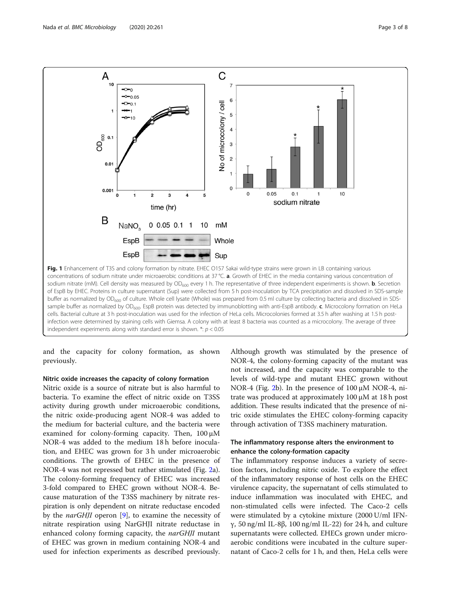<span id="page-2-0"></span>

independent experiments along with standard error is shown.  $*$ :  $p < 0.05$ 

and the capacity for colony formation, as shown previously.

#### Nitric oxide increases the capacity of colony formation

Nitric oxide is a source of nitrate but is also harmful to bacteria. To examine the effect of nitric oxide on T3SS activity during growth under microaerobic conditions, the nitric oxide-producing agent NOR-4 was added to the medium for bacterial culture, and the bacteria were examined for colony-forming capacity. Then, 100 μM NOR-4 was added to the medium 18 h before inoculation, and EHEC was grown for 3 h under microaerobic conditions. The growth of EHEC in the presence of NOR-4 was not repressed but rather stimulated (Fig. [2a](#page-3-0)). The colony-forming frequency of EHEC was increased 3-fold compared to EHEC grown without NOR-4. Because maturation of the T3SS machinery by nitrate respiration is only dependent on nitrate reductase encoded by the *narGHJI* operon [\[9](#page-7-0)], to examine the necessity of nitrate respiration using NarGHJI nitrate reductase in enhanced colony forming capacity, the *narGHJI* mutant of EHEC was grown in medium containing NOR-4 and used for infection experiments as described previously.

Although growth was stimulated by the presence of NOR-4, the colony-forming capacity of the mutant was not increased, and the capacity was comparable to the levels of wild-type and mutant EHEC grown without NOR-4 (Fig. [2b](#page-3-0)). In the presence of 100 μM NOR-4, nitrate was produced at approximately 100 μM at 18 h post addition. These results indicated that the presence of nitric oxide stimulates the EHEC colony-forming capacity through activation of T3SS machinery maturation.

#### The inflammatory response alters the environment to enhance the colony-formation capacity

The inflammatory response induces a variety of secretion factors, including nitric oxide. To explore the effect of the inflammatory response of host cells on the EHEC virulence capacity, the supernatant of cells stimulated to induce inflammation was inoculated with EHEC, and non-stimulated cells were infected. The Caco-2 cells were stimulated by a cytokine mixture (2000 U/ml IFNγ, 50 ng/ml IL-8β, 100 ng/ml IL-22) for 24 h, and culture supernatants were collected. EHECs grown under microaerobic conditions were incubated in the culture supernatant of Caco-2 cells for 1 h, and then, HeLa cells were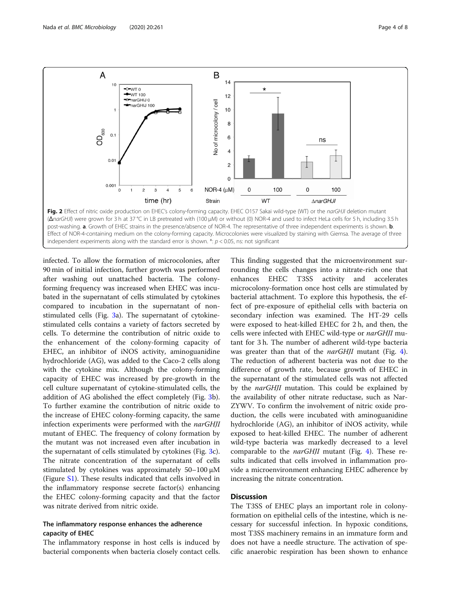<span id="page-3-0"></span>

infected. To allow the formation of microcolonies, after 90 min of initial infection, further growth was performed after washing out unattached bacteria. The colonyforming frequency was increased when EHEC was incubated in the supernatant of cells stimulated by cytokines compared to incubation in the supernatant of nonstimulated cells (Fig. [3a](#page-4-0)). The supernatant of cytokinestimulated cells contains a variety of factors secreted by cells. To determine the contribution of nitric oxide to the enhancement of the colony-forming capacity of EHEC, an inhibitor of iNOS activity, aminoguanidine hydrochloride (AG), was added to the Caco-2 cells along with the cytokine mix. Although the colony-forming capacity of EHEC was increased by pre-growth in the cell culture supernatant of cytokine-stimulated cells, the addition of AG abolished the effect completely (Fig. [3](#page-4-0)b). To further examine the contribution of nitric oxide to the increase of EHEC colony-forming capacity, the same infection experiments were performed with the narGHJI mutant of EHEC. The frequency of colony formation by the mutant was not increased even after incubation in the supernatant of cells stimulated by cytokines (Fig. [3c](#page-4-0)). The nitrate concentration of the supernatant of cells stimulated by cytokines was approximately 50–100 μM (Figure [S1\)](#page-7-0). These results indicated that cells involved in the inflammatory response secrete factor(s) enhancing the EHEC colony-forming capacity and that the factor was nitrate derived from nitric oxide.

#### The inflammatory response enhances the adherence capacity of EHEC

The inflammatory response in host cells is induced by bacterial components when bacteria closely contact cells.

This finding suggested that the microenvironment surrounding the cells changes into a nitrate-rich one that enhances EHEC T3SS activity and accelerates microcolony-formation once host cells are stimulated by bacterial attachment. To explore this hypothesis, the effect of pre-exposure of epithelial cells with bacteria on secondary infection was examined. The HT-29 cells were exposed to heat-killed EHEC for 2 h, and then, the cells were infected with EHEC wild-type or narGHJI mutant for 3 h. The number of adherent wild-type bacteria was greater than that of the *narGHJI* mutant (Fig. [4](#page-5-0)). The reduction of adherent bacteria was not due to the difference of growth rate, because growth of EHEC in the supernatant of the stimulated cells was not affected by the narGHJI mutation. This could be explained by the availability of other nitrate reductase, such as Nar-ZYWV. To confirm the involvement of nitric oxide production, the cells were incubated with aminoguanidine hydrochloride (AG), an inhibitor of iNOS activity, while exposed to heat-killed EHEC. The number of adherent wild-type bacteria was markedly decreased to a level comparable to the narGHJI mutant (Fig. [4\)](#page-5-0). These results indicated that cells involved in inflammation provide a microenvironment enhancing EHEC adherence by increasing the nitrate concentration.

#### **Discussion**

The T3SS of EHEC plays an important role in colonyformation on epithelial cells of the intestine, which is necessary for successful infection. In hypoxic conditions, most T3SS machinery remains in an immature form and does not have a needle structure. The activation of specific anaerobic respiration has been shown to enhance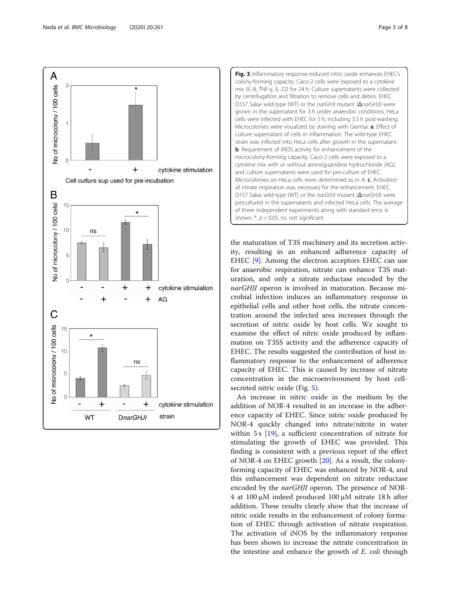<span id="page-4-0"></span>

Fig. 3 Inflammatory response-induced nitric oxide enhances EHEC's colony-forming capacity. Caco-2 cells were exposed to a cytokine mix (IL-8, TNF-γ, IL-22) for 24 h. Culture supernatants were collected by centrifugation and filtration to remove cells and debris. EHEC O157 Sakai wild-type (WT) or the narGHJI mutant (ΔnarGHJI) were grown in the supernatant for 3 h under anaerobic conditions. HeLa cells were infected with EHEC for 5 h, including 3.5 h post-washing. Microcolonies were visualized by staining with Giemsa. a. Effect of culture supernatant of cells in inflammation. The wild-type EHEC strain was infected into HeLa cells after growth in the supernatant. b. Requirement of iNOS activity for enhancement of the microcolony-forming capacity. Caco-2 cells were exposed to a cytokine mix with or without aminoguanidine hydrochloride (AG), and culture supernatants were used for pre-culture of EHEC. Microcolonies on HeLa cells were determined as in A. c. Activation of nitrate respiration was necessary for the enhancement. EHEC O157 Sakai wild-type (WT) or the narGHJI mutant (ΔnarGHJI) were precultured in the supernatants and infected HeLa cells. The average of three independent experiments along with standard error is shown.  $*$ :  $p$  < 0.05, ns: not significant

the maturation of T3S machinery and its secretion activity, resulting in an enhanced adherence capacity of EHEC [[9](#page-7-0)]. Among the electron acceptors EHEC can use for anaerobic respiration, nitrate can enhance T3S maturation, and only a nitrate reductase encoded by the narGHJI operon is involved in maturation. Because microbial infection induces an inflammatory response in epithelial cells and other host cells, the nitrate concentration around the infected area increases through the secretion of nitric oxide by host cells. We sought to examine the effect of nitric oxide produced by inflammation on T3SS activity and the adherence capacity of EHEC. The results suggested the contribution of host inflammatory response to the enhancement of adherence capacity of EHEC. This is caused by increase of nitrate concentration in the microenvironment by host cellsecreted nitric oxide (Fig. [5](#page-6-0)).

An increase in nitric oxide in the medium by the addition of NOR-4 resulted in an increase in the adherence capacity of EHEC. Since nitric oxide produced by NOR-4 quickly changed into nitrate/nitrite in water within 5 s [[19\]](#page-7-0), a sufficient concentration of nitrate for stimulating the growth of EHEC was provided. This finding is consistent with a previous report of the effect of NOR-4 on EHEC growth [[20\]](#page-7-0). As a result, the colonyforming capacity of EHEC was enhanced by NOR-4, and this enhancement was dependent on nitrate reductase encoded by the narGHJI operon. The presence of NOR-4 at 100 μM indeed produced 100 μM nitrate 18 h after addition. These results clearly show that the increase of nitric oxide results in the enhancement of colony formation of EHEC through activation of nitrate respiration. The activation of iNOS by the inflammatory response has been shown to increase the nitrate concentration in the intestine and enhance the growth of *E. coli* through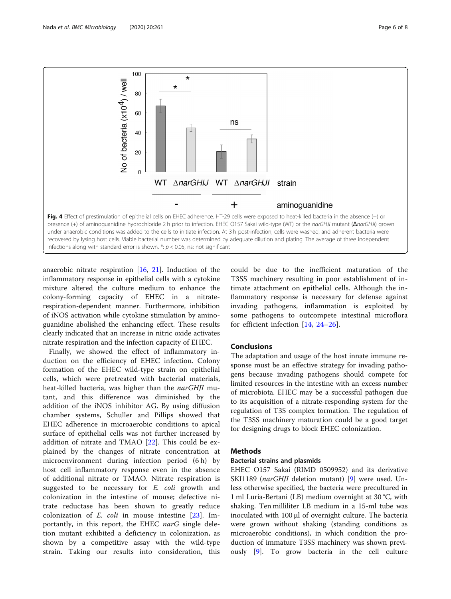<span id="page-5-0"></span>

infections along with standard error is shown.  $*$ :  $p$  < 0.05, ns: not significant

anaerobic nitrate respiration [\[16,](#page-7-0) [21\]](#page-7-0). Induction of the inflammatory response in epithelial cells with a cytokine mixture altered the culture medium to enhance the colony-forming capacity of EHEC in a nitraterespiration-dependent manner. Furthermore, inhibition of iNOS activation while cytokine stimulation by aminoguanidine abolished the enhancing effect. These results clearly indicated that an increase in nitric oxide activates nitrate respiration and the infection capacity of EHEC.

Finally, we showed the effect of inflammatory induction on the efficiency of EHEC infection. Colony formation of the EHEC wild-type strain on epithelial cells, which were pretreated with bacterial materials, heat-killed bacteria, was higher than the narGHJI mutant, and this difference was diminished by the addition of the iNOS inhibitor AG. By using diffusion chamber systems, Schuller and Pillips showed that EHEC adherence in microaerobic conditions to apical surface of epithelial cells was not further increased by addition of nitrate and TMAO [\[22](#page-7-0)]. This could be explained by the changes of nitrate concentration at microenvironment during infection period (6 h) by host cell inflammatory response even in the absence of additional nitrate or TMAO. Nitrate respiration is suggested to be necessary for *E. coli* growth and colonization in the intestine of mouse; defective nitrate reductase has been shown to greatly reduce colonization of  $E$ . *coli* in mouse intestine  $[23]$  $[23]$ . Importantly, in this report, the EHEC narG single deletion mutant exhibited a deficiency in colonization, as shown by a competitive assay with the wild-type strain. Taking our results into consideration, this could be due to the inefficient maturation of the T3SS machinery resulting in poor establishment of intimate attachment on epithelial cells. Although the inflammatory response is necessary for defense against invading pathogens, inflammation is exploited by some pathogens to outcompete intestinal microflora for efficient infection [[14,](#page-7-0) [24](#page-7-0)–[26\]](#page-7-0).

#### Conclusions

The adaptation and usage of the host innate immune response must be an effective strategy for invading pathogens because invading pathogens should compete for limited resources in the intestine with an excess number of microbiota. EHEC may be a successful pathogen due to its acquisition of a nitrate-responding system for the regulation of T3S complex formation. The regulation of the T3SS machinery maturation could be a good target for designing drugs to block EHEC colonization.

#### Methods

#### Bacterial strains and plasmids

EHEC O157 Sakai (RIMD 0509952) and its derivative SKI1189 (narGHJI deletion mutant) [\[9\]](#page-7-0) were used. Unless otherwise specified, the bacteria were precultured in 1 ml Luria-Bertani (LB) medium overnight at 30 °C, with shaking. Ten milliliter LB medium in a 15-ml tube was inoculated with 100 μl of overnight culture. The bacteria were grown without shaking (standing conditions as microaerobic conditions), in which condition the production of immature T3SS machinery was shown previously [[9\]](#page-7-0). To grow bacteria in the cell culture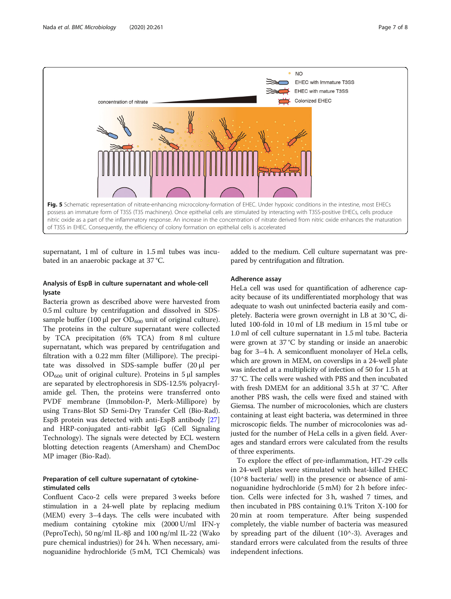<span id="page-6-0"></span>

supernatant, 1 ml of culture in 1.5 ml tubes was incubated in an anaerobic package at 37 °C.

#### Analysis of EspB in culture supernatant and whole-cell lysate

Bacteria grown as described above were harvested from 0.5 ml culture by centrifugation and dissolved in SDSsample buffer (100  $\mu$ l per OD<sub>600</sub> unit of original culture). The proteins in the culture supernatant were collected by TCA precipitation (6% TCA) from 8 ml culture supernatant, which was prepared by centrifugation and filtration with a 0.22 mm filter (Millipore). The precipitate was dissolved in SDS-sample buffer (20 μl per  $OD_{600}$  unit of original culture). Proteins in 5 μl samples are separated by electrophoresis in SDS-12.5% polyacrylamide gel. Then, the proteins were transferred onto PVDF membrane (Immobilon-P, Merk-Millipore) by using Trans-Blot SD Semi-Dry Transfer Cell (Bio-Rad). EspB protein was detected with anti-EspB antibody [[27](#page-7-0)] and HRP-conjugated anti-rabbit IgG (Cell Signaling Technology). The signals were detected by ECL western blotting detection reagents (Amersham) and ChemDoc MP imager (Bio-Rad).

#### Preparation of cell culture supernatant of cytokinestimulated cells

Confluent Caco-2 cells were prepared 3 weeks before stimulation in a 24-well plate by replacing medium (MEM) every 3–4 days. The cells were incubated with medium containing cytokine mix (2000 U/ml IFN-γ (PeproTech), 50 ng/ml IL-8β and 100 ng/ml IL-22 (Wako pure chemical industries)) for 24 h. When necessary, aminoguanidine hydrochloride (5 mM, TCI Chemicals) was added to the medium. Cell culture supernatant was prepared by centrifugation and filtration.

#### Adherence assay

HeLa cell was used for quantification of adherence capacity because of its undifferentiated morphology that was adequate to wash out uninfected bacteria easily and completely. Bacteria were grown overnight in LB at 30 °C, diluted 100-fold in 10 ml of LB medium in 15 ml tube or 1.0 ml of cell culture supernatant in 1.5 ml tube. Bacteria were grown at 37 °C by standing or inside an anaerobic bag for 3–4 h. A semiconfluent monolayer of HeLa cells, which are grown in MEM, on coverslips in a 24-well plate was infected at a multiplicity of infection of 50 for 1.5 h at 37 °C. The cells were washed with PBS and then incubated with fresh DMEM for an additional 3.5 h at 37 °C. After another PBS wash, the cells were fixed and stained with Giemsa. The number of microcolonies, which are clusters containing at least eight bacteria, was determined in three microscopic fields. The number of microcolonies was adjusted for the number of HeLa cells in a given field. Averages and standard errors were calculated from the results of three experiments.

To explore the effect of pre-inflammation, HT-29 cells in 24-well plates were stimulated with heat-killed EHEC (10^8 bacteria/ well) in the presence or absence of aminoguanidine hydrochloride (5 mM) for 2 h before infection. Cells were infected for 3 h, washed 7 times, and then incubated in PBS containing 0.1% Triton X-100 for 20 min at room temperature. After being suspended completely, the viable number of bacteria was measured by spreading part of the diluent  $(10^{\wedge} -3)$ . Averages and standard errors were calculated from the results of three independent infections.